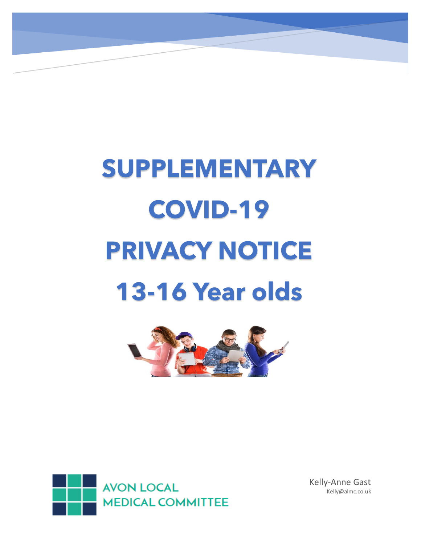# **SUPPLEMENTARY COVID-19 PRIVACY NOTICE 13-16 Year olds**





Kelly-Anne Gast Kelly@almc.co.uk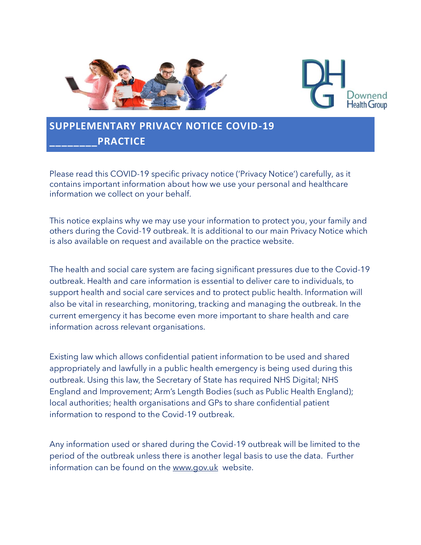



# **SUPPLEMENTARY PRIVACY NOTICE COVID-19 \_\_\_\_\_\_\_\_PRACTICE**

Please read this COVID-19 specific privacy notice ('Privacy Notice') carefully, as it contains important information about how we use your personal and healthcare information we collect on your behalf.

This notice explains why we may use your information to protect you, your family and others during the Covid-19 outbreak. It is additional to our main Privacy Notice which is also available on request and available on the practice website.

The health and social care system are facing significant pressures due to the Covid-19 outbreak. Health and care information is essential to deliver care to individuals, to support health and social care services and to protect public health. Information will also be vital in researching, monitoring, tracking and managing the outbreak. In the current emergency it has become even more important to share health and care information across relevant organisations.

Existing law which allows confidential patient information to be used and shared appropriately and lawfully in a public health emergency is being used during this outbreak. Using this law, the Secretary of State has required NHS Digital; NHS England and Improvement; Arm's Length Bodies (such as Public Health England); local authorities; health organisations and GPs to share confidential patient information to respond to the Covid-19 outbreak.

Any information used or shared during the Covid-19 outbreak will be limited to the period of the outbreak unless there is another legal basis to use the data. Further information can be found on the [www.gov.uk](http://www.gov.uk/) website.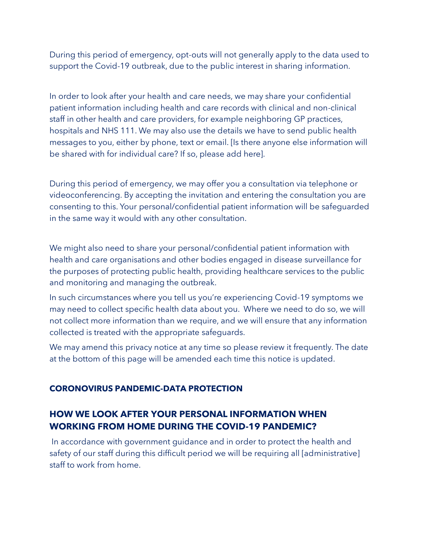During this period of emergency, opt-outs will not generally apply to the data used to support the Covid-19 outbreak, due to the public interest in sharing information.

In order to look after your health and care needs, we may share your confidential patient information including health and care records with clinical and non-clinical staff in other health and care providers, for example neighboring GP practices, hospitals and NHS 111. We may also use the details we have to send public health messages to you, either by phone, text or email. [Is there anyone else information will be shared with for individual care? If so, please add here].

During this period of emergency, we may offer you a consultation via telephone or videoconferencing. By accepting the invitation and entering the consultation you are consenting to this. Your personal/confidential patient information will be safeguarded in the same way it would with any other consultation.

We might also need to share your personal/confidential patient information with health and care organisations and other bodies engaged in disease surveillance for the purposes of protecting public health, providing healthcare services to the public and monitoring and managing the outbreak.

In such circumstances where you tell us you're experiencing Covid-19 symptoms we may need to collect specific health data about you. Where we need to do so, we will not collect more information than we require, and we will ensure that any information collected is treated with the appropriate safeguards.

We may amend this privacy notice at any time so please review it frequently. The date at the bottom of this page will be amended each time this notice is updated.

# **CORONOVIRUS PANDEMIC-DATA PROTECTION**

# **HOW WE LOOK AFTER YOUR PERSONAL INFORMATION WHEN WORKING FROM HOME DURING THE COVID-19 PANDEMIC?**

In accordance with government guidance and in order to protect the health and safety of our staff during this difficult period we will be requiring all [administrative] staff to work from home.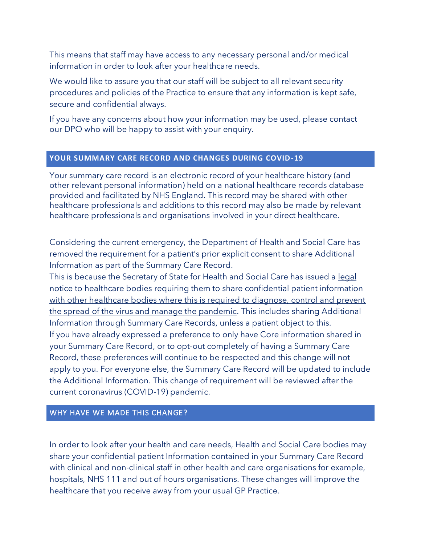This means that staff may have access to any necessary personal and/or medical information in order to look after your healthcare needs.

We would like to assure you that our staff will be subject to all relevant security procedures and policies of the Practice to ensure that any information is kept safe, secure and confidential always.

If you have any concerns about how your information may be used, please contact our DPO who will be happy to assist with your enquiry.

#### **YOUR SUMMARY CARE RECORD AND CHANGES DURING COVID-19**

Your summary care record is an electronic record of your healthcare history (and other relevant personal information) held on a national healthcare records database provided and facilitated by NHS England. This record may be shared with other healthcare professionals and additions to this record may also be made by relevant healthcare professionals and organisations involved in your direct healthcare.

Considering the current emergency, the Department of Health and Social Care has removed the requirement for a patient's prior explicit consent to share Additional Information as part of the Summary Care Record.

This is because the Secretary of State for Health and Social Care has issued a [legal](https://www.nhsx.nhs.uk/media/documents/Final_General_COPI_Notice.pdf)  [notice to healthcare bodies requiring them to share confidential patient information](https://www.nhsx.nhs.uk/media/documents/Final_General_COPI_Notice.pdf)  with other healthcare bodies where this is required to diagnose, control and prevent [the spread of the virus and manage the pandemic.](https://www.nhsx.nhs.uk/media/documents/Final_General_COPI_Notice.pdf) This includes sharing Additional Information through Summary Care Records, unless a patient object to this. If you have already expressed a preference to only have Core information shared in your Summary Care Record, or to opt-out completely of having a Summary Care Record, these preferences will continue to be respected and this change will not apply to you. For everyone else, the Summary Care Record will be updated to include the Additional Information. This change of requirement will be reviewed after the current coronavirus (COVID-19) pandemic.

# WHY HAVE WE MADE THIS CHANGE?

In order to look after your health and care needs, Health and Social Care bodies may share your confidential patient Information contained in your Summary Care Record with clinical and non-clinical staff in other health and care organisations for example, hospitals, NHS 111 and out of hours organisations. These changes will improve the healthcare that you receive away from your usual GP Practice.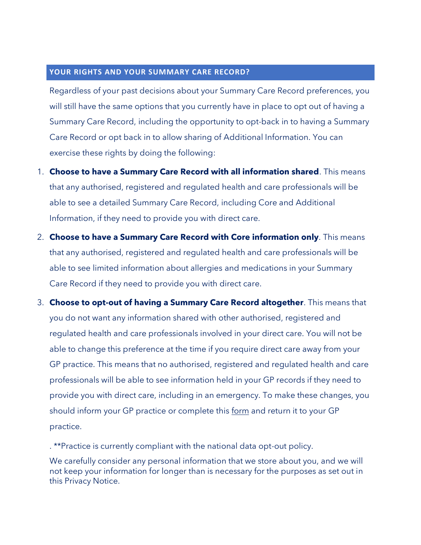#### **YOUR RIGHTS AND YOUR SUMMARY CARE RECORD?**

Regardless of your past decisions about your Summary Care Record preferences, you will still have the same options that you currently have in place to opt out of having a Summary Care Record, including the opportunity to opt-back in to having a Summary Care Record or opt back in to allow sharing of Additional Information. You can exercise these rights by doing the following:

- 1. **Choose to have a Summary Care Record with all information shared**. This means that any authorised, registered and regulated health and care professionals will be able to see a detailed Summary Care Record, including Core and Additional Information, if they need to provide you with direct care.
- 2. **Choose to have a Summary Care Record with Core information only**. This means that any authorised, registered and regulated health and care professionals will be able to see limited information about allergies and medications in your Summary Care Record if they need to provide you with direct care.
- 3. **Choose to opt-out of having a Summary Care Record altogether**. This means that you do not want any information shared with other authorised, registered and regulated health and care professionals involved in your direct care. You will not be able to change this preference at the time if you require direct care away from your GP practice. This means that no authorised, registered and regulated health and care professionals will be able to see information held in your GP records if they need to provide you with direct care, including in an emergency. To make these changes, you should inform your GP practice or complete this <u>form</u> and return it to your GP practice.

. \*\*Practice is currently compliant with the national data opt-out policy.

We carefully consider any personal information that we store about you, and we will not keep your information for longer than is necessary for the purposes as set out in this Privacy Notice.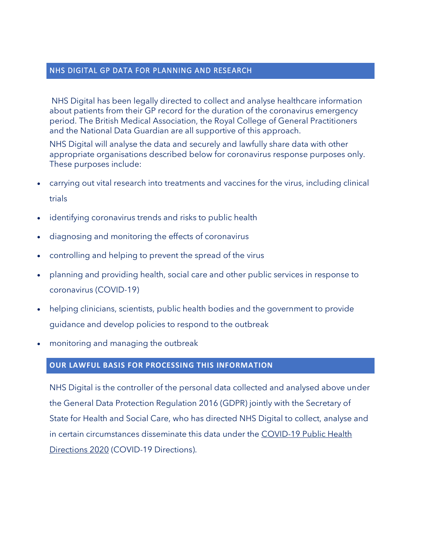#### NHS DIGITAL GP DATA FOR PLANNING AND RESEARCH

NHS Digital has been legally directed to collect and analyse healthcare information about patients from their GP record for the duration of the coronavirus emergency period. The British Medical Association, the Royal College of General Practitioners and the National Data Guardian are all supportive of this approach.

NHS Digital will analyse the data and securely and lawfully share data with other appropriate organisations described below for coronavirus response purposes only. These purposes include:

- carrying out vital research into treatments and vaccines for the virus, including clinical trials
- identifying coronavirus trends and risks to public health
- diagnosing and monitoring the effects of coronavirus
- controlling and helping to prevent the spread of the virus
- planning and providing health, social care and other public services in response to coronavirus (COVID-19)
- helping clinicians, scientists, public health bodies and the government to provide guidance and develop policies to respond to the outbreak
- monitoring and managing the outbreak

# **OUR LAWFUL BASIS FOR PROCESSING THIS INFORMATION**

NHS Digital is the controller of the personal data collected and analysed above under the General Data Protection Regulation 2016 (GDPR) jointly with the Secretary of State for Health and Social Care, who has directed NHS Digital to collect, analyse and in certain circumstances disseminate this data under the [COVID-19 Public Health](https://digital.nhs.uk/about-nhs-digital/corporate-information-and-documents/directions-and-data-provision-notices/secretary-of-state-directions/covid-19-public-health-directions-2020)  [Directions 2020](https://digital.nhs.uk/about-nhs-digital/corporate-information-and-documents/directions-and-data-provision-notices/secretary-of-state-directions/covid-19-public-health-directions-2020) (COVID-19 Directions).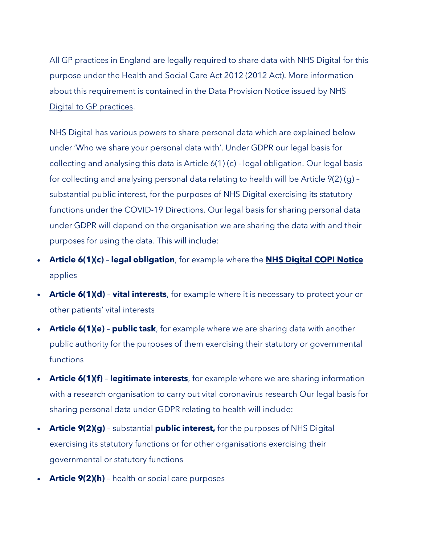All GP practices in England are legally required to share data with NHS Digital for this purpose under the Health and Social Care Act 2012 (2012 Act). More information about this requirement is contained in the Data Provision Notice issued by NHS [Digital to GP practices.](https://digital.nhs.uk/about-nhs-digital/corporate-information-and-documents/directions-and-data-provision-notices/data-provision-notices-dpns/gpes-data-for-pandemic-planning-and-research)

NHS Digital has various powers to share personal data which are explained below under 'Who we share your personal data with'. Under GDPR our legal basis for collecting and analysing this data is Article 6(1) (c) - legal obligation. Our legal basis for collecting and analysing personal data relating to health will be Article 9(2) (g) – substantial public interest, for the purposes of NHS Digital exercising its statutory functions under the COVID-19 Directions. Our legal basis for sharing personal data under GDPR will depend on the organisation we are sharing the data with and their purposes for using the data. This will include:

- **Article 6(1)(c) legal obligation**, for example where the **[NHS Digital COPI Notice](https://digital.nhs.uk/coronavirus/coronavirus-covid-19-response-information-governance-hub/control-of-patient-information-copi-notice)** applies
- **Article 6(1)(d) vital interests**, for example where it is necessary to protect your or other patients' vital interests
- **Article 6(1)(e) public task**, for example where we are sharing data with another public authority for the purposes of them exercising their statutory or governmental functions
- **Article 6(1)(f) legitimate interests**, for example where we are sharing information with a research organisation to carry out vital coronavirus research Our legal basis for sharing personal data under GDPR relating to health will include:
- **Article 9(2)(g)** substantial **public interest,** for the purposes of NHS Digital exercising its statutory functions or for other organisations exercising their governmental or statutory functions
- **Article 9(2)(h)** health or social care purposes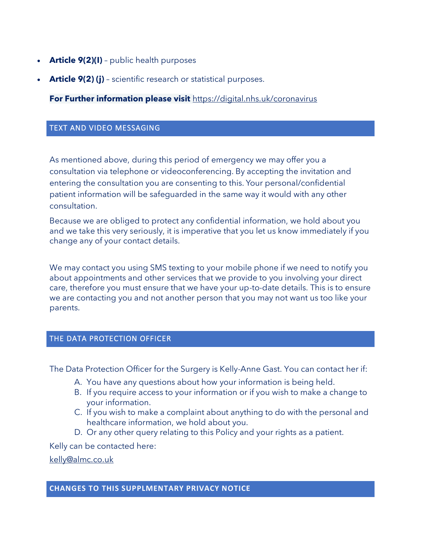- **Article 9(2)(I)** public health purposes
- **Article 9(2) (j)** scientific research or statistical purposes.

**For Further information please visit** <https://digital.nhs.uk/coronavirus>

#### TEXT AND VIDEO MESSAGING

As mentioned above, during this period of emergency we may offer you a consultation via telephone or videoconferencing. By accepting the invitation and entering the consultation you are consenting to this. Your personal/confidential patient information will be safeguarded in the same way it would with any other consultation.

Because we are obliged to protect any confidential information, we hold about you and we take this very seriously, it is imperative that you let us know immediately if you change any of your contact details.

We may contact you using SMS texting to your mobile phone if we need to notify you about appointments and other services that we provide to you involving your direct care, therefore you must ensure that we have your up-to-date details. This is to ensure we are contacting you and not another person that you may not want us too like your parents.

#### THE DATA PROTECTION OFFICER

The Data Protection Officer for the Surgery is Kelly-Anne Gast. You can contact her if:

- A. You have any questions about how your information is being held.
- B. If you require access to your information or if you wish to make a change to your information.
- C. If you wish to make a complaint about anything to do with the personal and healthcare information, we hold about you.
- D. Or any other query relating to this Policy and your rights as a patient.

Kelly can be contacted here:

[kelly@almc.co.uk](mailto:kelly@almc.co.uk)